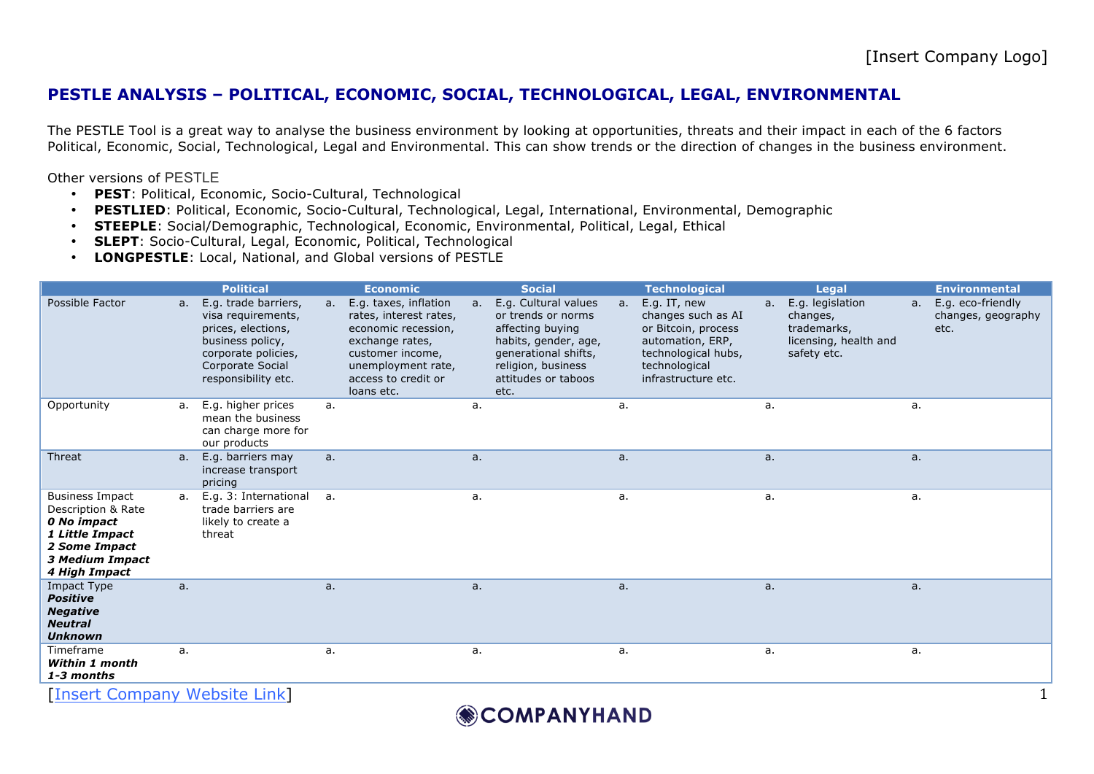## **PESTLE ANALYSIS – POLITICAL, ECONOMIC, SOCIAL, TECHNOLOGICAL, LEGAL, ENVIRONMENTAL**

The PESTLE Tool is a great way to analyse the business environment by looking at opportunities, threats and their impact in each of the 6 factors Political, Economic, Social, Technological, Legal and Environmental. This can show trends or the direction of changes in the business environment.

Other versions of PESTLE

- **PEST**: Political, Economic, Socio-Cultural, Technological
- **PESTLIED**: Political, Economic, Socio-Cultural, Technological, Legal, International, Environmental, Demographic
- **STEEPLE**: Social/Demographic, Technological, Economic, Environmental, Political, Legal, Ethical
- **SLEPT**: Socio-Cultural, Legal, Economic, Political, Technological
- **LONGPESTLE**: Local, National, and Global versions of PESTLE

|                                                                                                                                            |    | <b>Political</b>                                                                                                                                       |    | <b>Economic</b>                                                                                                                                                          |                | <b>Social</b>                                                                                                                                                       |    | <b>Technological</b>                                                                                                                         |         | <b>Legal</b>                                                                        |                | <b>Environmental</b>                            |
|--------------------------------------------------------------------------------------------------------------------------------------------|----|--------------------------------------------------------------------------------------------------------------------------------------------------------|----|--------------------------------------------------------------------------------------------------------------------------------------------------------------------------|----------------|---------------------------------------------------------------------------------------------------------------------------------------------------------------------|----|----------------------------------------------------------------------------------------------------------------------------------------------|---------|-------------------------------------------------------------------------------------|----------------|-------------------------------------------------|
| Possible Factor                                                                                                                            | а. | E.g. trade barriers,<br>visa requirements,<br>prices, elections,<br>business policy,<br>corporate policies,<br>Corporate Social<br>responsibility etc. | a. | E.g. taxes, inflation<br>rates, interest rates,<br>economic recession,<br>exchange rates,<br>customer income,<br>unemployment rate,<br>access to credit or<br>loans etc. | a <sub>r</sub> | E.g. Cultural values<br>or trends or norms<br>affecting buying<br>habits, gender, age,<br>generational shifts,<br>religion, business<br>attitudes or taboos<br>etc. | a. | E.g. IT, new<br>changes such as AI<br>or Bitcoin, process<br>automation, ERP,<br>technological hubs,<br>technological<br>infrastructure etc. | $a_{1}$ | E.g. legislation<br>changes,<br>trademarks,<br>licensing, health and<br>safety etc. | a <sub>r</sub> | E.g. eco-friendly<br>changes, geography<br>etc. |
| Opportunity                                                                                                                                | а. | E.g. higher prices<br>mean the business<br>can charge more for<br>our products                                                                         | a. |                                                                                                                                                                          | a.             |                                                                                                                                                                     | a. |                                                                                                                                              | а.      |                                                                                     | a.             |                                                 |
| Threat                                                                                                                                     | a. | E.g. barriers may<br>increase transport<br>pricing                                                                                                     | a. |                                                                                                                                                                          | a.             |                                                                                                                                                                     | a. |                                                                                                                                              | a.      |                                                                                     | a.             |                                                 |
| <b>Business Impact</b><br>Description & Rate<br>0 No impact<br>1 Little Impact<br>2 Some Impact<br><b>3 Medium Impact</b><br>4 High Impact |    | a. E.g. 3: International<br>trade barriers are<br>likely to create a<br>threat                                                                         | a. |                                                                                                                                                                          | a.             |                                                                                                                                                                     | a. |                                                                                                                                              | а.      |                                                                                     | a.             |                                                 |
| <b>Impact Type</b><br><b>Positive</b><br><b>Negative</b><br><b>Neutral</b><br><b>Unknown</b>                                               | a. |                                                                                                                                                        | a. |                                                                                                                                                                          | a.             |                                                                                                                                                                     | a. |                                                                                                                                              | a.      |                                                                                     | а.             |                                                 |
| Timeframe<br><b>Within 1 month</b><br>1-3 months                                                                                           | a. |                                                                                                                                                        | a. |                                                                                                                                                                          | a.             |                                                                                                                                                                     | a. |                                                                                                                                              | a.      |                                                                                     | a.             |                                                 |

[Insert Company Website Link]